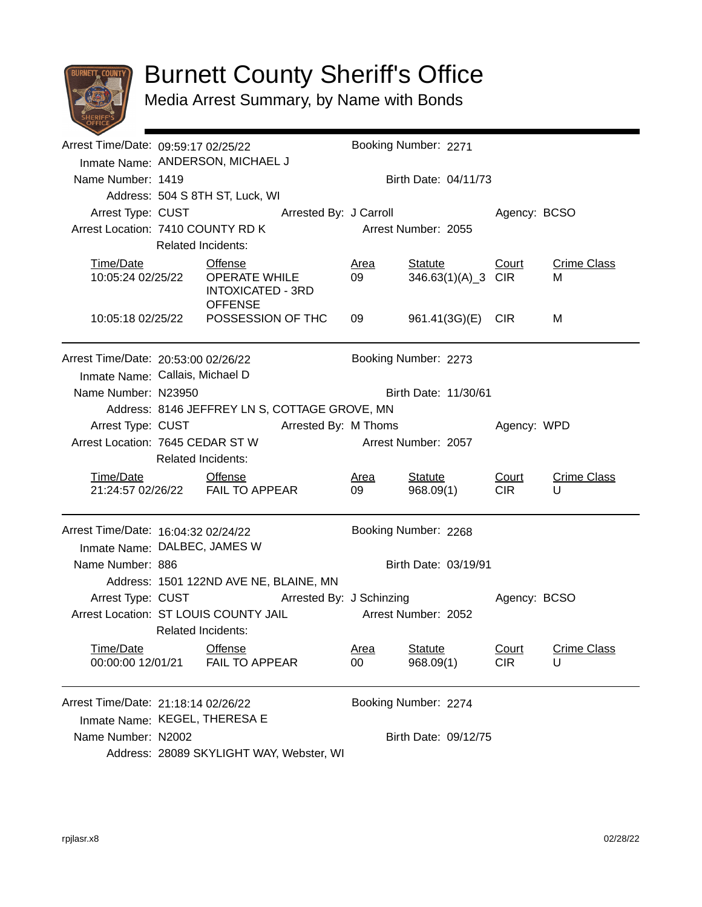

## Burnett County Sheriff's Office

Media Arrest Summary, by Name with Bonds

|                                                                     | Arrest Time/Date: 09:59:17 02/25/22<br>Inmate Name: ANDERSON, MICHAEL J                        |                                                                    |  | Booking Number: 2271 |                      |              |                    |  |
|---------------------------------------------------------------------|------------------------------------------------------------------------------------------------|--------------------------------------------------------------------|--|----------------------|----------------------|--------------|--------------------|--|
| Name Number: 1419                                                   |                                                                                                |                                                                    |  |                      | Birth Date: 04/11/73 |              |                    |  |
|                                                                     |                                                                                                | Address: 504 S 8TH ST, Luck, WI                                    |  |                      |                      |              |                    |  |
|                                                                     | Arrest Type: CUST Arrested By: J Carroll                                                       |                                                                    |  |                      |                      | Agency: BCSO |                    |  |
|                                                                     |                                                                                                | Arrest Location: 7410 COUNTY RD K                                  |  | Arrest Number: 2055  |                      |              |                    |  |
|                                                                     | <b>Related Incidents:</b>                                                                      |                                                                    |  |                      |                      |              |                    |  |
| Time/Date                                                           |                                                                                                | <b>Offense</b>                                                     |  | <u>Area</u>          | <b>Statute</b>       | <b>Court</b> | <b>Crime Class</b> |  |
| 10:05:24 02/25/22                                                   |                                                                                                | <b>OPERATE WHILE</b><br><b>INTOXICATED - 3RD</b><br><b>OFFENSE</b> |  | 09                   | 346.63(1)(A)_3 CIR   |              | м                  |  |
|                                                                     |                                                                                                | 10:05:18 02/25/22    POSSESSION OF THC                             |  | 09                   | 961.41(3G)(E) CIR    |              | м                  |  |
|                                                                     | Arrest Time/Date: 20:53:00 02/26/22<br>Booking Number: 2273<br>Inmate Name: Callais, Michael D |                                                                    |  |                      |                      |              |                    |  |
| Name Number: N23950                                                 | Birth Date: 11/30/61                                                                           |                                                                    |  |                      |                      |              |                    |  |
|                                                                     | Address: 8146 JEFFREY LN S, COTTAGE GROVE, MN                                                  |                                                                    |  |                      |                      |              |                    |  |
| Arrest Type: CUST                                                   | <b>Arrested By: M Thoms</b>                                                                    |                                                                    |  |                      |                      | Agency: WPD  |                    |  |
| Arrest Location: 7645 CEDAR ST W                                    |                                                                                                |                                                                    |  |                      | Arrest Number: 2057  |              |                    |  |
|                                                                     | <b>Related Incidents:</b>                                                                      |                                                                    |  |                      |                      |              |                    |  |
| Time/Date Offense                                                   |                                                                                                |                                                                    |  | <u>Area</u>          | <b>Statute</b>       | Court        | <b>Crime Class</b> |  |
|                                                                     |                                                                                                | 21:24:57 02/26/22    FAIL TO APPEAR                                |  | 09                   | 968.09(1)            | <b>CIR</b>   | U                  |  |
| Arrest Time/Date: 16:04:32 02/24/22<br>Inmate Name: DALBEC, JAMES W |                                                                                                |                                                                    |  |                      | Booking Number: 2268 |              |                    |  |
| Name Number: 886                                                    |                                                                                                |                                                                    |  | Birth Date: 03/19/91 |                      |              |                    |  |
|                                                                     | Address: 1501 122ND AVE NE, BLAINE, MN                                                         |                                                                    |  |                      |                      |              |                    |  |
|                                                                     |                                                                                                | Arrest Type: CUST Arrested By: J Schinzing                         |  |                      |                      | Agency: BCSO |                    |  |
| Arrest Location: ST LOUIS COUNTY JAIL                               |                                                                                                |                                                                    |  |                      | Arrest Number: 2052  |              |                    |  |
|                                                                     | <b>Related Incidents:</b>                                                                      |                                                                    |  |                      |                      |              |                    |  |
| Time/Date                                                           |                                                                                                | Offense                                                            |  | <u>Area</u>          | <b>Statute</b>       | <b>Court</b> | <b>Crime Class</b> |  |
| 00:00:00 12/01/21                                                   |                                                                                                | <b>FAIL TO APPEAR</b>                                              |  | 00                   | 968.09(1)            | <b>CIR</b>   | U                  |  |
| Arrest Time/Date: 21:18:14 02/26/22                                 |                                                                                                |                                                                    |  |                      | Booking Number: 2274 |              |                    |  |
| Inmate Name: KEGEL, THERESA E                                       |                                                                                                |                                                                    |  |                      |                      |              |                    |  |
| Name Number: N2002                                                  | Birth Date: 09/12/75                                                                           |                                                                    |  |                      |                      |              |                    |  |
|                                                                     | Address: 28089 SKYLIGHT WAY, Webster, WI                                                       |                                                                    |  |                      |                      |              |                    |  |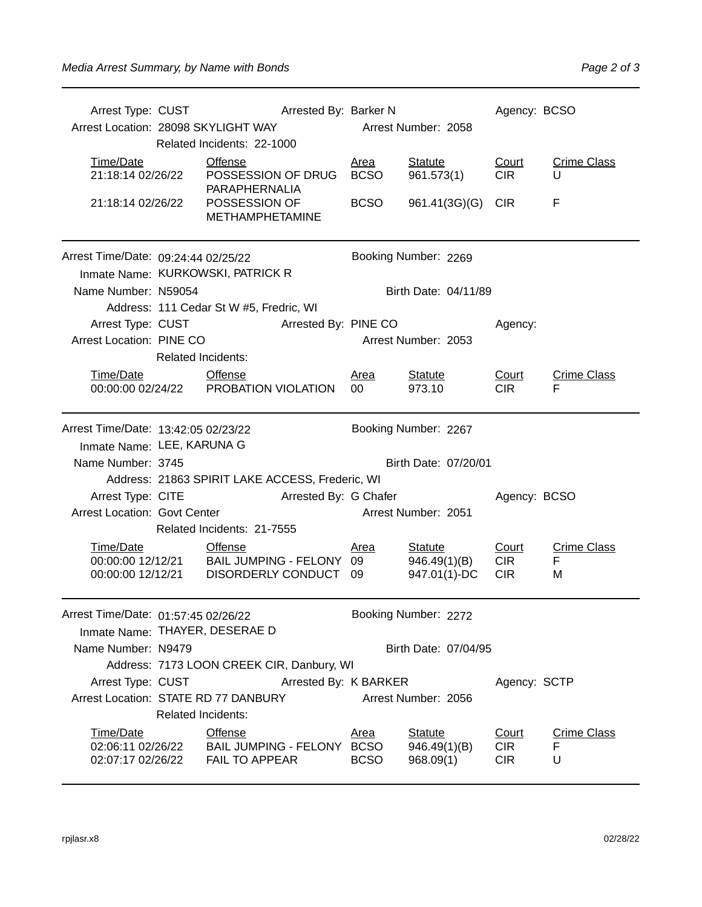| Arrest Type: CUST                         | <b>Arrested By: Barker N</b>                    |                                                                                          |                      |                                | Agency: BCSO        |                         |  |
|-------------------------------------------|-------------------------------------------------|------------------------------------------------------------------------------------------|----------------------|--------------------------------|---------------------|-------------------------|--|
|                                           |                                                 | Arrest Location: 28098 SKYLIGHT WAY                                                      |                      | Arrest Number: 2058            |                     |                         |  |
|                                           |                                                 | Related Incidents: 22-1000                                                               |                      |                                |                     |                         |  |
| Time/Date                                 |                                                 | <b>Offense</b>                                                                           | <b>Area</b>          | <b>Statute</b>                 | Court               | <b>Crime Class</b>      |  |
| 21:18:14 02/26/22                         |                                                 | POSSESSION OF DRUG                                                                       | <b>BCSO</b>          | 961.573(1)                     | <b>CIR</b>          | U                       |  |
| 21:18:14 02/26/22                         |                                                 | PARAPHERNALIA<br>POSSESSION OF<br><b>METHAMPHETAMINE</b>                                 | <b>BCSO</b>          | 961.41(3G)(G)                  | <b>CIR</b>          | F                       |  |
| Arrest Time/Date: 09:24:44 02/25/22       |                                                 |                                                                                          |                      | Booking Number: 2269           |                     |                         |  |
|                                           |                                                 | Inmate Name: KURKOWSKI, PATRICK R                                                        |                      |                                |                     |                         |  |
| Name Number: N59054                       |                                                 |                                                                                          | Birth Date: 04/11/89 |                                |                     |                         |  |
|                                           |                                                 | Address: 111 Cedar St W #5, Fredric, WI                                                  |                      |                                |                     |                         |  |
| Arrest Type: CUST                         |                                                 | Arrested By: PINE CO                                                                     |                      |                                | Agency:             |                         |  |
| Arrest Location: PINE CO                  |                                                 |                                                                                          |                      | Arrest Number: 2053            |                     |                         |  |
|                                           | <b>Related Incidents:</b>                       |                                                                                          |                      |                                |                     |                         |  |
| Time/Date                                 | <b>Offense</b>                                  |                                                                                          | <u>Area</u>          | <b>Statute</b>                 | Court               | <b>Crime Class</b>      |  |
|                                           |                                                 | 00:00:00 02/24/22 PROBATION VIOLATION                                                    | 00                   | 973.10                         | <b>CIR</b>          | F                       |  |
| Arrest Time/Date: 13:42:05 02/23/22       |                                                 |                                                                                          | Booking Number: 2267 |                                |                     |                         |  |
|                                           | Inmate Name: LEE, KARUNA G                      |                                                                                          |                      |                                |                     |                         |  |
| Name Number: 3745                         |                                                 |                                                                                          | Birth Date: 07/20/01 |                                |                     |                         |  |
|                                           | Address: 21863 SPIRIT LAKE ACCESS, Frederic, WI |                                                                                          |                      |                                |                     |                         |  |
| Arrest Type: CITE                         |                                                 | Arrested By: G Chafer                                                                    |                      |                                | Agency: BCSO        |                         |  |
| <b>Arrest Location: Govt Center</b>       |                                                 |                                                                                          |                      | Arrest Number: 2051            |                     |                         |  |
|                                           |                                                 | Related Incidents: 21-7555                                                               |                      |                                |                     |                         |  |
| Time/Date                                 |                                                 | <b>Offense</b>                                                                           | <u>Area</u>          | <b>Statute</b>                 | Court               | <b>Crime Class</b>      |  |
|                                           |                                                 | 00:00:00 12/12/21 BAIL JUMPING - FELONY 09<br>00:00:00 12/12/21 BAIL JUMPING - FELONY 09 |                      | 946.49(1)(B)                   | <b>CIR</b>          | F                       |  |
|                                           |                                                 |                                                                                          |                      | 947.01(1)-DC                   | <b>CIR</b>          | M                       |  |
| Arrest Time/Date: 01:57:45 02/26/22       |                                                 |                                                                                          | Booking Number: 2272 |                                |                     |                         |  |
|                                           | Inmate Name: THAYER, DESERAE D                  |                                                                                          |                      |                                |                     |                         |  |
| Name Number: N9479                        | Birth Date: 07/04/95                            |                                                                                          |                      |                                |                     |                         |  |
| Address: 7173 LOON CREEK CIR, Danbury, WI |                                                 |                                                                                          |                      |                                |                     |                         |  |
| Arrest Type: CUST                         | Arrested By: K BARKER<br>Agency: SCTP           |                                                                                          |                      |                                |                     |                         |  |
|                                           |                                                 | Arrest Location: STATE RD 77 DANBURY                                                     |                      | Arrest Number: 2056            |                     |                         |  |
|                                           | <b>Related Incidents:</b>                       |                                                                                          |                      |                                |                     |                         |  |
| Time/Date<br>02:06:11 02/26/22            |                                                 | <b>Offense</b><br>BAIL JUMPING - FELONY BCSO                                             | <u>Area</u>          | <b>Statute</b><br>946.49(1)(B) | Court<br><b>CIR</b> | <b>Crime Class</b><br>F |  |
| 02:07:17 02/26/22                         |                                                 | <b>FAIL TO APPEAR</b>                                                                    | <b>BCSO</b>          | 968.09(1)                      | <b>CIR</b>          | U                       |  |
|                                           |                                                 |                                                                                          |                      |                                |                     |                         |  |